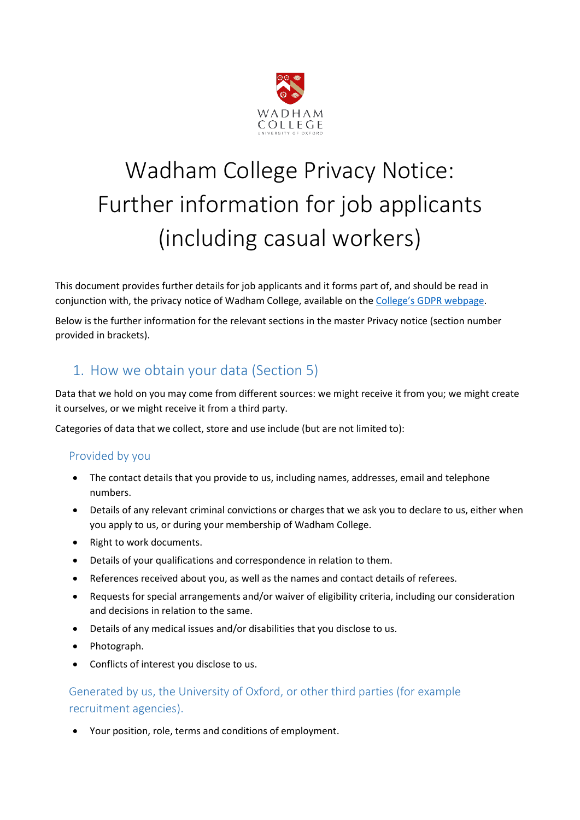

# Wadham College Privacy Notice: Further information for job applicants (including casual workers)

This document provides further details for job applicants and it forms part of, and should be read in conjunction with, the privacy notice of Wadham College, available on the [College's GDPR webpage](https://www.wadham.ox.ac.uk/governance/wadham-college-gdpr-framework).

Below is the further information for the relevant sections in the master Privacy notice (section number provided in brackets).

## 1. How we obtain your data (Section 5)

Data that we hold on you may come from different sources: we might receive it from you; we might create it ourselves, or we might receive it from a third party.

Categories of data that we collect, store and use include (but are not limited to):

### Provided by you

- The contact details that you provide to us, including names, addresses, email and telephone numbers.
- Details of any relevant criminal convictions or charges that we ask you to declare to us, either when you apply to us, or during your membership of Wadham College.
- Right to work documents.
- Details of your qualifications and correspondence in relation to them.
- References received about you, as well as the names and contact details of referees.
- Requests for special arrangements and/or waiver of eligibility criteria, including our consideration and decisions in relation to the same.
- Details of any medical issues and/or disabilities that you disclose to us.
- Photograph.
- Conflicts of interest you disclose to us.

## Generated by us, the University of Oxford, or other third parties (for example recruitment agencies).

Your position, role, terms and conditions of employment.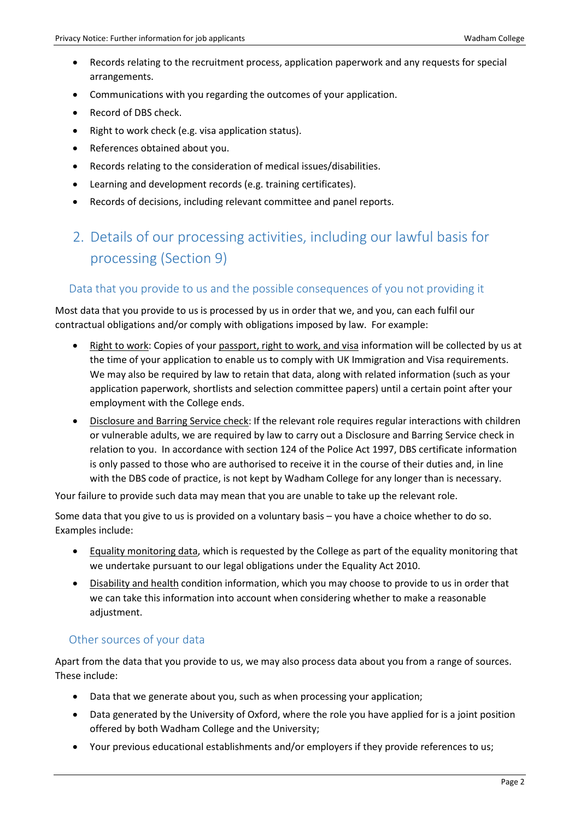- Records relating to the recruitment process, application paperwork and any requests for special arrangements.
- Communications with you regarding the outcomes of your application.
- Record of DBS check.
- Right to work check (e.g. visa application status).
- References obtained about you.
- Records relating to the consideration of medical issues/disabilities.
- Learning and development records (e.g. training certificates).
- Records of decisions, including relevant committee and panel reports.

# 2. Details of our processing activities, including our lawful basis for processing (Section 9)

#### Data that you provide to us and the possible consequences of you not providing it

Most data that you provide to us is processed by us in order that we, and you, can each fulfil our contractual obligations and/or comply with obligations imposed by law. For example:

- Right to work: Copies of your passport, right to work, and visa information will be collected by us at the time of your application to enable us to comply with UK Immigration and Visa requirements. We may also be required by law to retain that data, along with related information (such as your application paperwork, shortlists and selection committee papers) until a certain point after your employment with the College ends.
- Disclosure and Barring Service check: If the relevant role requires regular interactions with children or vulnerable adults, we are required by law to carry out a Disclosure and Barring Service check in relation to you. In accordance with section 124 of the Police Act 1997, DBS certificate information is only passed to those who are authorised to receive it in the course of their duties and, in line with the DBS code of practice, is not kept by Wadham College for any longer than is necessary.

Your failure to provide such data may mean that you are unable to take up the relevant role.

Some data that you give to us is provided on a voluntary basis – you have a choice whether to do so. Examples include:

- Equality monitoring data, which is requested by the College as part of the equality monitoring that we undertake pursuant to our legal obligations under the Equality Act 2010.
- Disability and health condition information, which you may choose to provide to us in order that we can take this information into account when considering whether to make a reasonable adjustment.

#### Other sources of your data

Apart from the data that you provide to us, we may also process data about you from a range of sources. These include:

- Data that we generate about you, such as when processing your application;
- Data generated by the University of Oxford, where the role you have applied for is a joint position offered by both Wadham College and the University;
- Your previous educational establishments and/or employers if they provide references to us;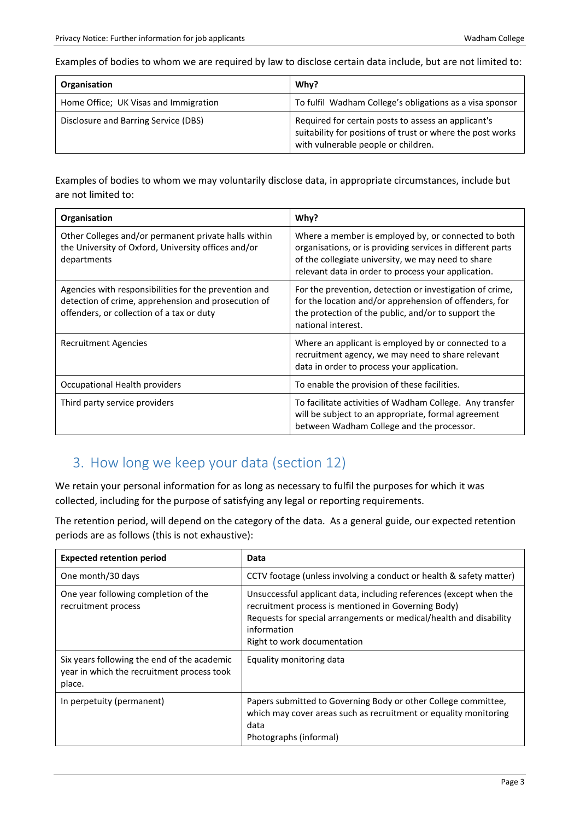Examples of bodies to whom we are required by law to disclose certain data include, but are not limited to:

| Organisation                          | Why?                                                                                                                                                     |
|---------------------------------------|----------------------------------------------------------------------------------------------------------------------------------------------------------|
| Home Office; UK Visas and Immigration | To fulfil Wadham College's obligations as a visa sponsor                                                                                                 |
| Disclosure and Barring Service (DBS)  | Required for certain posts to assess an applicant's<br>suitability for positions of trust or where the post works<br>with vulnerable people or children. |

Examples of bodies to whom we may voluntarily disclose data, in appropriate circumstances, include but are not limited to:

| Organisation                                                                                                                                              | Why?                                                                                                                                                                                                                           |
|-----------------------------------------------------------------------------------------------------------------------------------------------------------|--------------------------------------------------------------------------------------------------------------------------------------------------------------------------------------------------------------------------------|
| Other Colleges and/or permanent private halls within<br>the University of Oxford, University offices and/or<br>departments                                | Where a member is employed by, or connected to both<br>organisations, or is providing services in different parts<br>of the collegiate university, we may need to share<br>relevant data in order to process your application. |
| Agencies with responsibilities for the prevention and<br>detection of crime, apprehension and prosecution of<br>offenders, or collection of a tax or duty | For the prevention, detection or investigation of crime,<br>for the location and/or apprehension of offenders, for<br>the protection of the public, and/or to support the<br>national interest.                                |
| <b>Recruitment Agencies</b>                                                                                                                               | Where an applicant is employed by or connected to a<br>recruitment agency, we may need to share relevant<br>data in order to process your application.                                                                         |
| Occupational Health providers                                                                                                                             | To enable the provision of these facilities.                                                                                                                                                                                   |
| Third party service providers                                                                                                                             | To facilitate activities of Wadham College. Any transfer<br>will be subject to an appropriate, formal agreement<br>between Wadham College and the processor.                                                                   |

## 3. How long we keep your data (section 12)

We retain your personal information for as long as necessary to fulfil the purposes for which it was collected, including for the purpose of satisfying any legal or reporting requirements.

The retention period, will depend on the category of the data. As a general guide, our expected retention periods are as follows (this is not exhaustive):

| <b>Expected retention period</b>                                                                    | Data                                                                                                                                                                                                                                          |
|-----------------------------------------------------------------------------------------------------|-----------------------------------------------------------------------------------------------------------------------------------------------------------------------------------------------------------------------------------------------|
| One month/30 days                                                                                   | CCTV footage (unless involving a conduct or health & safety matter)                                                                                                                                                                           |
| One year following completion of the<br>recruitment process                                         | Unsuccessful applicant data, including references (except when the<br>recruitment process is mentioned in Governing Body)<br>Requests for special arrangements or medical/health and disability<br>information<br>Right to work documentation |
| Six years following the end of the academic<br>year in which the recruitment process took<br>place. | Equality monitoring data                                                                                                                                                                                                                      |
| In perpetuity (permanent)                                                                           | Papers submitted to Governing Body or other College committee,<br>which may cover areas such as recruitment or equality monitoring<br>data<br>Photographs (informal)                                                                          |